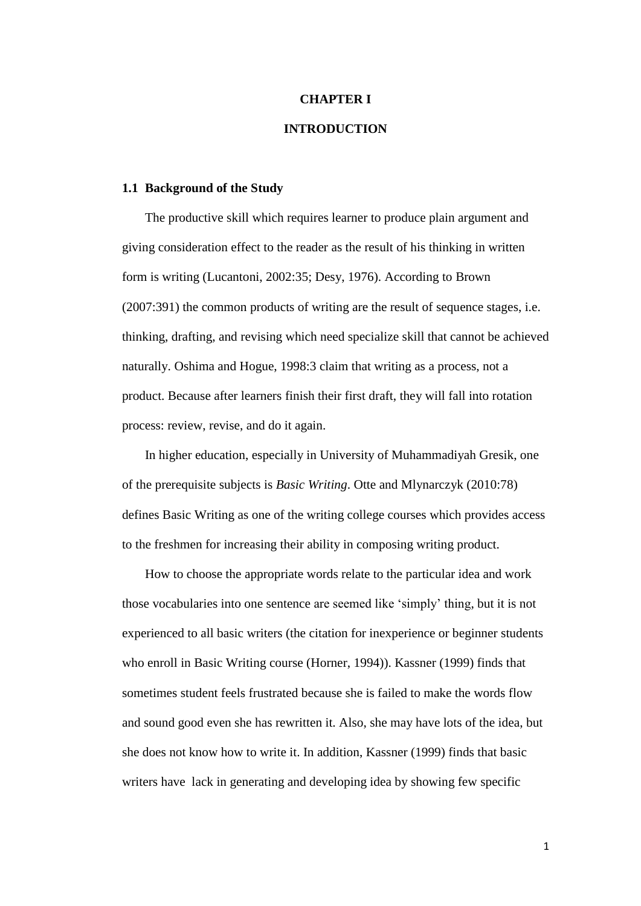## **CHAPTER I**

# **INTRODUCTION**

### **1.1 Background of the Study**

The productive skill which requires learner to produce plain argument and giving consideration effect to the reader as the result of his thinking in written form is writing (Lucantoni, 2002:35; Desy, 1976). According to Brown (2007:391) the common products of writing are the result of sequence stages, i.e. thinking, drafting, and revising which need specialize skill that cannot be achieved naturally. Oshima and Hogue, 1998:3 claim that writing as a process, not a product. Because after learners finish their first draft, they will fall into rotation process: review, revise, and do it again.

In higher education, especially in University of Muhammadiyah Gresik, one of the prerequisite subjects is *Basic Writing*. Otte and Mlynarczyk (2010:78) defines Basic Writing as one of the writing college courses which provides access to the freshmen for increasing their ability in composing writing product.

How to choose the appropriate words relate to the particular idea and work those vocabularies into one sentence are seemed like "simply" thing, but it is not experienced to all basic writers (the citation for inexperience or beginner students who enroll in Basic Writing course (Horner, 1994)). Kassner (1999) finds that sometimes student feels frustrated because she is failed to make the words flow and sound good even she has rewritten it. Also, she may have lots of the idea, but she does not know how to write it. In addition, Kassner (1999) finds that basic writers have lack in generating and developing idea by showing few specific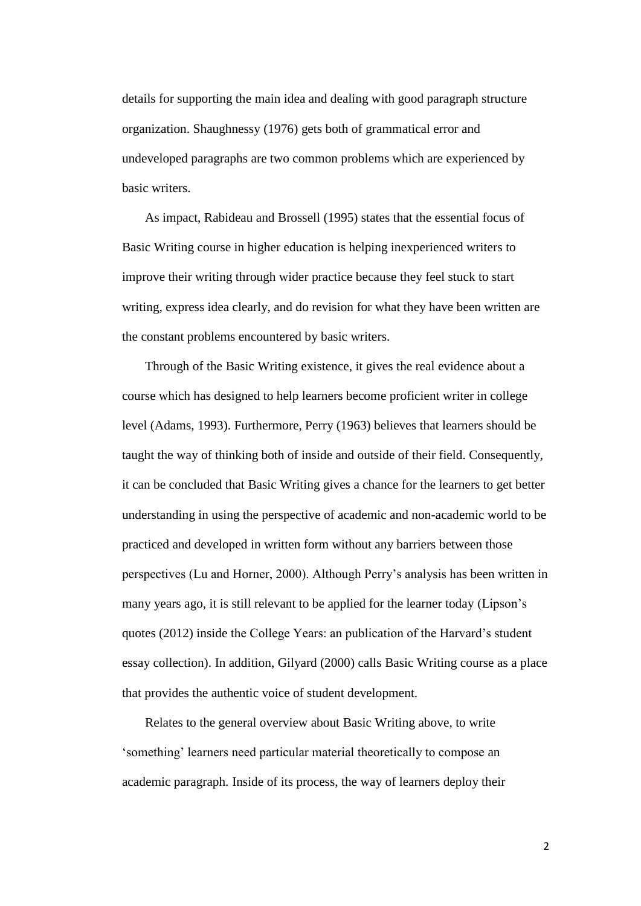details for supporting the main idea and dealing with good paragraph structure organization. Shaughnessy (1976) gets both of grammatical error and undeveloped paragraphs are two common problems which are experienced by basic writers.

As impact, Rabideau and Brossell (1995) states that the essential focus of Basic Writing course in higher education is helping inexperienced writers to improve their writing through wider practice because they feel stuck to start writing, express idea clearly, and do revision for what they have been written are the constant problems encountered by basic writers.

Through of the Basic Writing existence, it gives the real evidence about a course which has designed to help learners become proficient writer in college level (Adams, 1993). Furthermore, Perry (1963) believes that learners should be taught the way of thinking both of inside and outside of their field. Consequently, it can be concluded that Basic Writing gives a chance for the learners to get better understanding in using the perspective of academic and non-academic world to be practiced and developed in written form without any barriers between those perspectives (Lu and Horner, 2000). Although Perry"s analysis has been written in many years ago, it is still relevant to be applied for the learner today (Lipson"s quotes (2012) inside the College Years: an publication of the Harvard's student essay collection). In addition, Gilyard (2000) calls Basic Writing course as a place that provides the authentic voice of student development.

Relates to the general overview about Basic Writing above, to write "something" learners need particular material theoretically to compose an academic paragraph. Inside of its process, the way of learners deploy their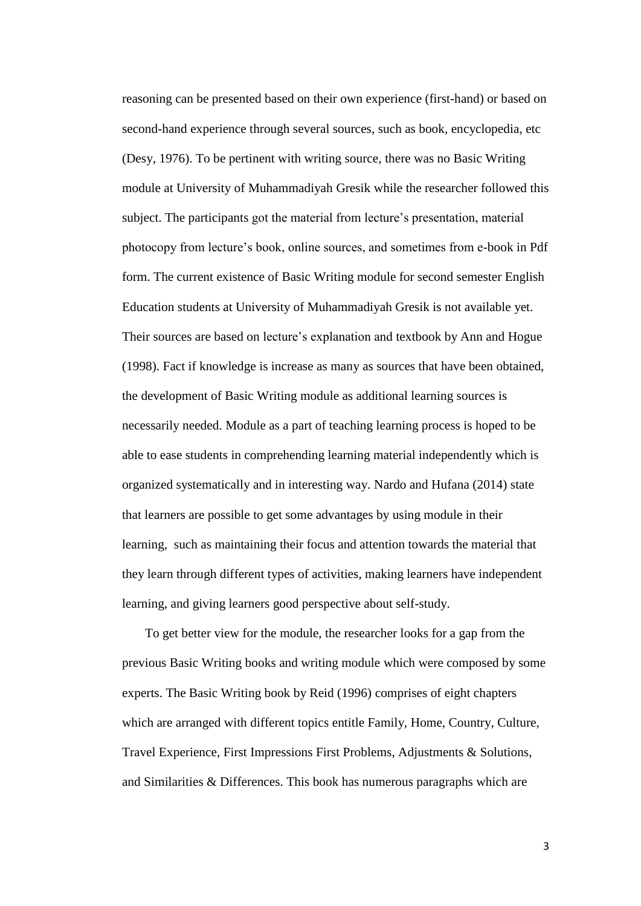reasoning can be presented based on their own experience (first-hand) or based on second-hand experience through several sources, such as book, encyclopedia, etc (Desy, 1976). To be pertinent with writing source, there was no Basic Writing module at University of Muhammadiyah Gresik while the researcher followed this subject. The participants got the material from lecture's presentation, material photocopy from lecture"s book, online sources, and sometimes from e-book in Pdf form. The current existence of Basic Writing module for second semester English Education students at University of Muhammadiyah Gresik is not available yet. Their sources are based on lecture"s explanation and textbook by Ann and Hogue (1998). Fact if knowledge is increase as many as sources that have been obtained, the development of Basic Writing module as additional learning sources is necessarily needed. Module as a part of teaching learning process is hoped to be able to ease students in comprehending learning material independently which is organized systematically and in interesting way. Nardo and Hufana (2014) state that learners are possible to get some advantages by using module in their learning, such as maintaining their focus and attention towards the material that they learn through different types of activities, making learners have independent learning, and giving learners good perspective about self-study.

To get better view for the module, the researcher looks for a gap from the previous Basic Writing books and writing module which were composed by some experts. The Basic Writing book by Reid (1996) comprises of eight chapters which are arranged with different topics entitle Family, Home, Country, Culture, Travel Experience, First Impressions First Problems, Adjustments & Solutions, and Similarities & Differences. This book has numerous paragraphs which are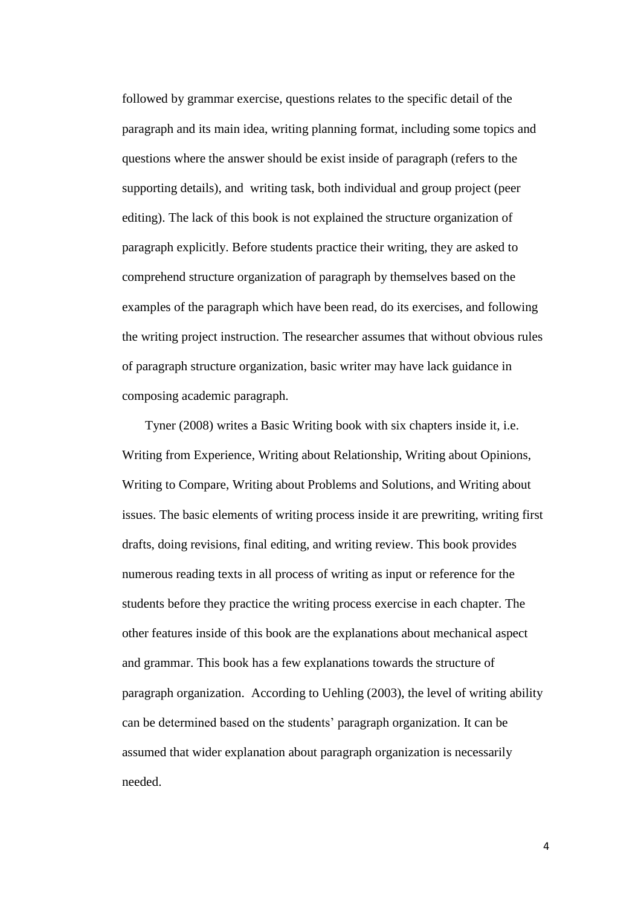followed by grammar exercise, questions relates to the specific detail of the paragraph and its main idea, writing planning format, including some topics and questions where the answer should be exist inside of paragraph (refers to the supporting details), and writing task, both individual and group project (peer editing). The lack of this book is not explained the structure organization of paragraph explicitly. Before students practice their writing, they are asked to comprehend structure organization of paragraph by themselves based on the examples of the paragraph which have been read, do its exercises, and following the writing project instruction. The researcher assumes that without obvious rules of paragraph structure organization, basic writer may have lack guidance in composing academic paragraph.

Tyner (2008) writes a Basic Writing book with six chapters inside it, i.e. Writing from Experience, Writing about Relationship, Writing about Opinions, Writing to Compare, Writing about Problems and Solutions, and Writing about issues. The basic elements of writing process inside it are prewriting, writing first drafts, doing revisions, final editing, and writing review. This book provides numerous reading texts in all process of writing as input or reference for the students before they practice the writing process exercise in each chapter. The other features inside of this book are the explanations about mechanical aspect and grammar. This book has a few explanations towards the structure of paragraph organization. According to Uehling (2003), the level of writing ability can be determined based on the students" paragraph organization. It can be assumed that wider explanation about paragraph organization is necessarily needed.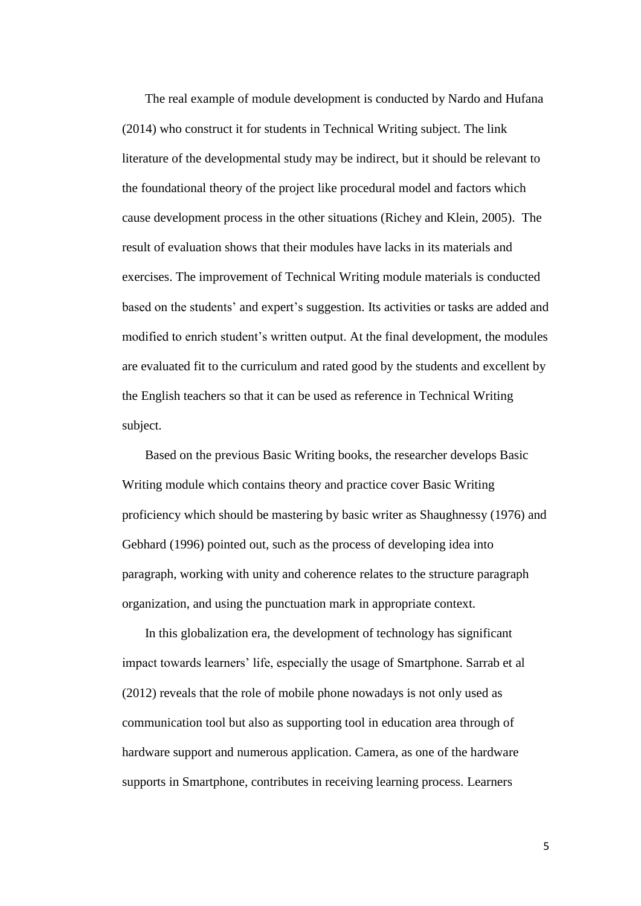The real example of module development is conducted by Nardo and Hufana (2014) who construct it for students in Technical Writing subject. The link literature of the developmental study may be indirect, but it should be relevant to the foundational theory of the project like procedural model and factors which cause development process in the other situations (Richey and Klein, 2005). The result of evaluation shows that their modules have lacks in its materials and exercises. The improvement of Technical Writing module materials is conducted based on the students" and expert"s suggestion. Its activities or tasks are added and modified to enrich student"s written output. At the final development, the modules are evaluated fit to the curriculum and rated good by the students and excellent by the English teachers so that it can be used as reference in Technical Writing subject.

Based on the previous Basic Writing books, the researcher develops Basic Writing module which contains theory and practice cover Basic Writing proficiency which should be mastering by basic writer as Shaughnessy (1976) and Gebhard (1996) pointed out, such as the process of developing idea into paragraph, working with unity and coherence relates to the structure paragraph organization, and using the punctuation mark in appropriate context.

In this globalization era, the development of technology has significant impact towards learners' life, especially the usage of Smartphone. Sarrab et al (2012) reveals that the role of mobile phone nowadays is not only used as communication tool but also as supporting tool in education area through of hardware support and numerous application. Camera, as one of the hardware supports in Smartphone, contributes in receiving learning process. Learners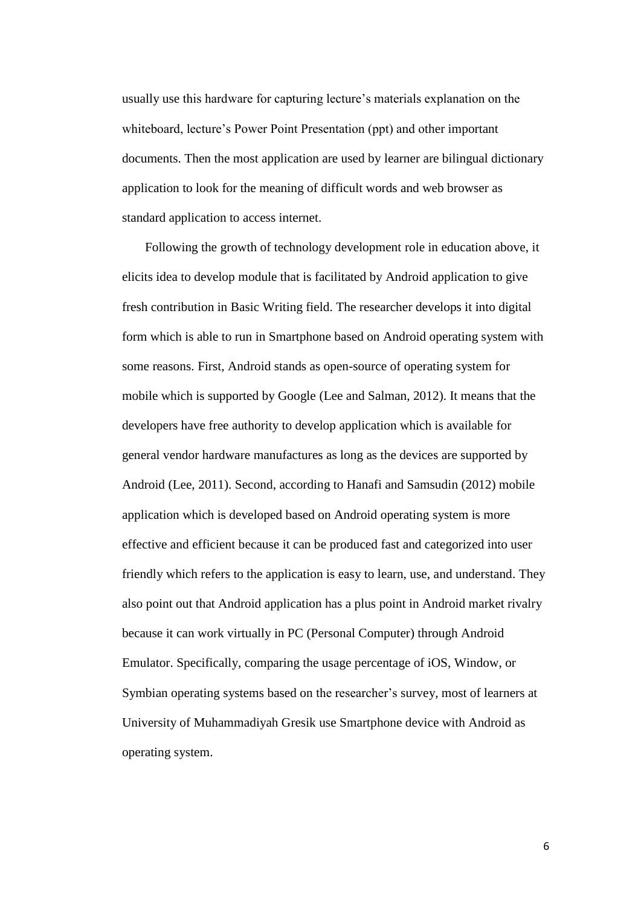usually use this hardware for capturing lecture"s materials explanation on the whiteboard, lecture's Power Point Presentation (ppt) and other important documents. Then the most application are used by learner are bilingual dictionary application to look for the meaning of difficult words and web browser as standard application to access internet.

Following the growth of technology development role in education above, it elicits idea to develop module that is facilitated by Android application to give fresh contribution in Basic Writing field. The researcher develops it into digital form which is able to run in Smartphone based on Android operating system with some reasons. First, Android stands as open-source of operating system for mobile which is supported by Google (Lee and Salman, 2012). It means that the developers have free authority to develop application which is available for general vendor hardware manufactures as long as the devices are supported by Android (Lee, 2011). Second, according to Hanafi and Samsudin (2012) mobile application which is developed based on Android operating system is more effective and efficient because it can be produced fast and categorized into user friendly which refers to the application is easy to learn, use, and understand. They also point out that Android application has a plus point in Android market rivalry because it can work virtually in PC (Personal Computer) through Android Emulator. Specifically, comparing the usage percentage of iOS, Window, or Symbian operating systems based on the researcher's survey, most of learners at University of Muhammadiyah Gresik use Smartphone device with Android as operating system.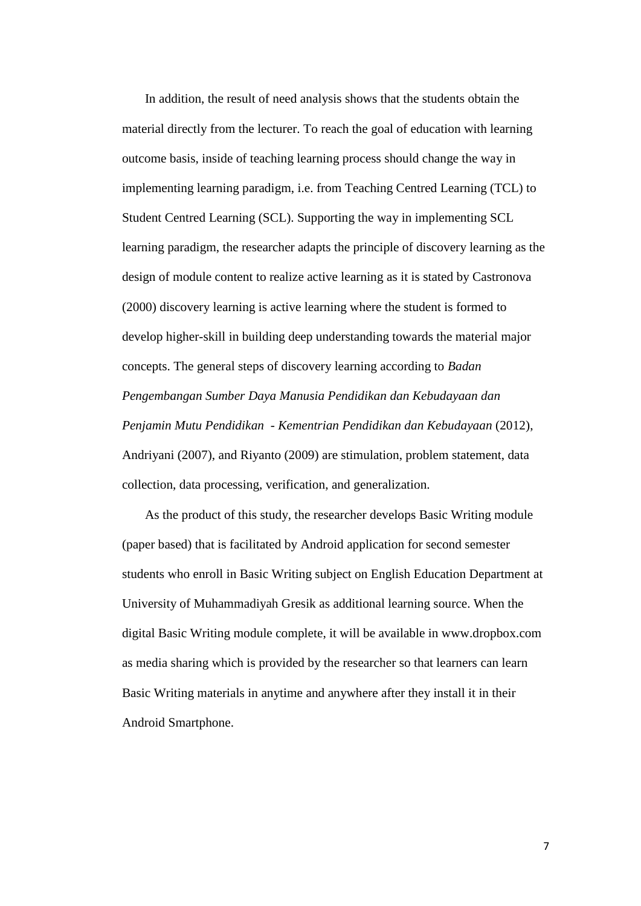In addition, the result of need analysis shows that the students obtain the material directly from the lecturer. To reach the goal of education with learning outcome basis, inside of teaching learning process should change the way in implementing learning paradigm, i.e. from Teaching Centred Learning (TCL) to Student Centred Learning (SCL). Supporting the way in implementing SCL learning paradigm, the researcher adapts the principle of discovery learning as the design of module content to realize active learning as it is stated by Castronova (2000) discovery learning is active learning where the student is formed to develop higher-skill in building deep understanding towards the material major concepts. The general steps of discovery learning according to *Badan Pengembangan Sumber Daya Manusia Pendidikan dan Kebudayaan dan Penjamin Mutu Pendidikan - Kementrian Pendidikan dan Kebudayaan* (2012), Andriyani (2007), and Riyanto (2009) are stimulation, problem statement, data collection, data processing, verification, and generalization.

As the product of this study, the researcher develops Basic Writing module (paper based) that is facilitated by Android application for second semester students who enroll in Basic Writing subject on English Education Department at University of Muhammadiyah Gresik as additional learning source. When the digital Basic Writing module complete, it will be available in www.dropbox.com as media sharing which is provided by the researcher so that learners can learn Basic Writing materials in anytime and anywhere after they install it in their Android Smartphone.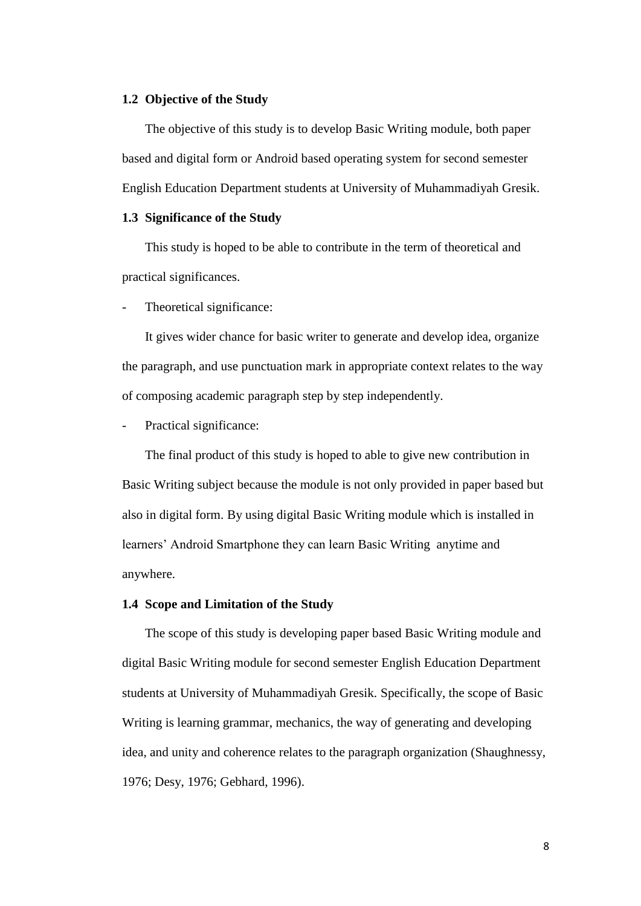## **1.2 Objective of the Study**

The objective of this study is to develop Basic Writing module, both paper based and digital form or Android based operating system for second semester English Education Department students at University of Muhammadiyah Gresik.

## **1.3 Significance of the Study**

This study is hoped to be able to contribute in the term of theoretical and practical significances.

Theoretical significance:

It gives wider chance for basic writer to generate and develop idea, organize the paragraph, and use punctuation mark in appropriate context relates to the way of composing academic paragraph step by step independently.

Practical significance:

The final product of this study is hoped to able to give new contribution in Basic Writing subject because the module is not only provided in paper based but also in digital form. By using digital Basic Writing module which is installed in learners" Android Smartphone they can learn Basic Writing anytime and anywhere.

## **1.4 Scope and Limitation of the Study**

The scope of this study is developing paper based Basic Writing module and digital Basic Writing module for second semester English Education Department students at University of Muhammadiyah Gresik. Specifically, the scope of Basic Writing is learning grammar, mechanics, the way of generating and developing idea, and unity and coherence relates to the paragraph organization (Shaughnessy, 1976; Desy, 1976; Gebhard, 1996).